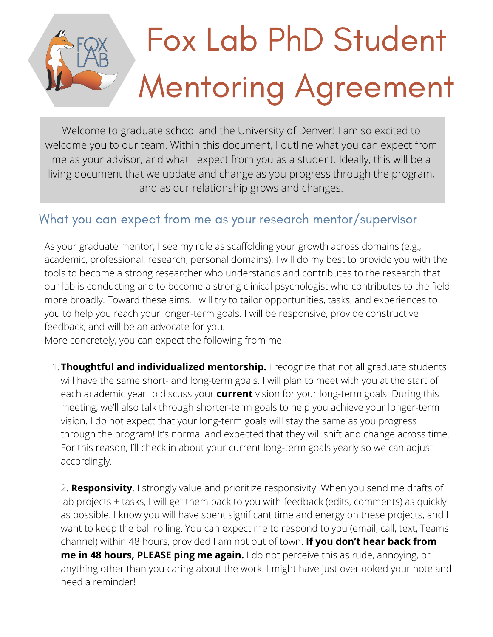## Fox Lab PhD Student Mentoring Agreement

Welcome to graduate school and the University of Denver! I am so excited to welcome you to our team. Within this document, I outline what you can expect from me as your advisor, and what I expect from you as a student. Ideally, this will be a living document that we update and change as you progress through the program, and as our relationship grows and changes.

## What you can expect from me as your research mentor/supervisor

As your graduate mentor, I see my role as scaffolding your growth across domains (e.g., academic, professional, research, personal domains). I will do my best to provide you with the tools to become a strong researcher who understands and contributes to the research that our lab is conducting and to become a strong clinical psychologist who contributes to the field more broadly. Toward these aims, I will try to tailor opportunities, tasks, and experiences to you to help you reach your longer-term goals. I will be responsive, provide constructive feedback, and will be an advocate for you.

More concretely, you can expect the following from me:

**Thoughtful and individualized mentorship.** I recognize that not all graduate students 1. will have the same short- and long-term goals. I will plan to meet with you at the start of each academic year to discuss your **current** vision for your long-term goals. During this meeting, we'll also talk through shorter-term goals to help you achieve your longer-term vision. I do not expect that your long-term goals will stay the same as you progress through the program! It's normal and expected that they will shift and change across time. For this reason, I'll check in about your current long-term goals yearly so we can adjust accordingly.

 $U_t$  has  $v$  had  $\epsilon$  from  $\epsilon$ art gym that's open **me in 48 hours, PLEASE ping me again.** I do not perceive this as rude, annoying, or anything other than you caring about the work. I might have just overlooked your note and your fitness goals 2. **Responsivity**. I strongly value and prioritize responsivity. When you send me drafts of lab projects + tasks, I will get them back to you with feedback (edits, comments) as quickly as possible. I know you will have spent significant time and energy on these projects, and I want to keep the ball rolling. You can expect me to respond to you (email, call, text, Teams channel) within 48 hours, provided I am not out of town. **If you don't hear back from** need a reminder!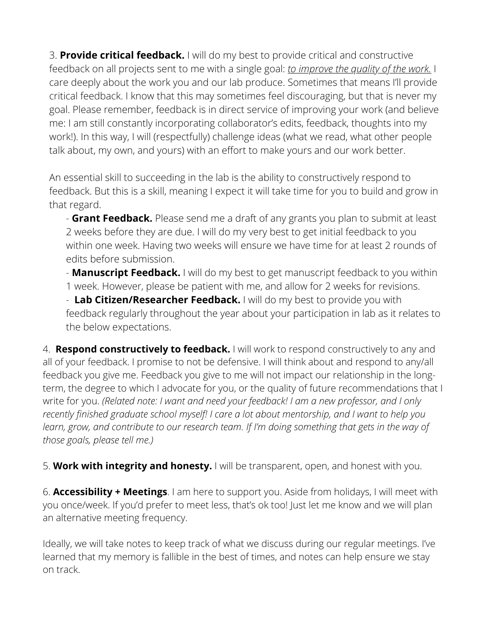3. **Provide critical feedback.** I will do my best to provide critical and constructive feedback on all projects sent to me with a single goal: *to improve the quality of the work.* I care deeply about the work you and our lab produce. Sometimes that means I'll provide critical feedback. I know that this may sometimes feel discouraging, but that is never my goal. Please remember, feedback is in direct service of improving your work (and believe me: I am still constantly incorporating collaborator's edits, feedback, thoughts into my work!). In this way, I will (respectfully) challenge ideas (what we read, what other people talk about, my own, and yours) with an effort to make yours and our work better.

An essential skill to succeeding in the lab is the ability to constructively respond to feedback. But this is a skill, meaning I expect it will take time for you to build and grow in that regard.

- **Grant Feedback.** Please send me a draft of any grants you plan to submit at least 2 weeks before they are due. I will do my very best to get initial feedback to you within one week. Having two weeks will ensure we have time for at least 2 rounds of edits before submission.

- **Manuscript Feedback.** I will do my best to get manuscript feedback to you within 1 week. However, please be patient with me, and allow for 2 weeks for revisions.

- **Lab Citizen/Researcher Feedback.** I will do my best to provide you with feedback regularly throughout the year about your participation in lab as it relates to the below expectations.

4. **Respond constructively to feedback.** I will work to respond constructively to any and all of your feedback. I promise to not be defensive. I will think about and respond to any/all feedback you give me. Feedback you give to me will not impact our relationship in the longterm, the degree to which I advocate for you, or the quality of future recommendations that I write for you. *(Related note: I want and need your feedback! I am a new professor, and I only recently finished graduate school myself! I care a lot about mentorship, and I want to help you learn, grow, and contribute to our research team. If I'm doing something that gets in the way of those goals, please tell me.)*

5. **Work with integrity and honesty.** I will be transparent, open, and honest with you.

6. **Accessibility + Meetings**. I am here to support you. Aside from holidays, I will meet with you once/week. If you'd prefer to meet less, that's ok too! Just let me know and we will plan an alternative meeting frequency.

Ideally, we will take notes to keep track of what we discuss during our regular meetings. I've learned that my memory is fallible in the best of times, and notes can help ensure we stay on track.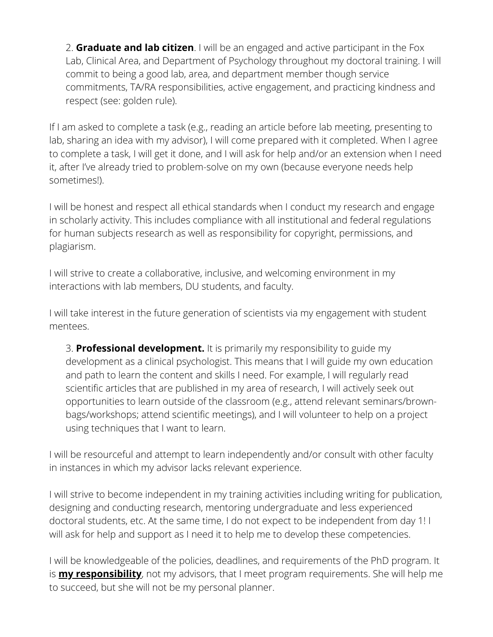2. **Graduate and lab citizen**. I will be an engaged and active participant in the Fox Lab, Clinical Area, and Department of Psychology throughout my doctoral training. I will commit to being a good lab, area, and department member though service commitments, TA/RA responsibilities, active engagement, and practicing kindness and respect (see: golden rule).

If I am asked to complete a task (e.g., reading an article before lab meeting, presenting to lab, sharing an idea with my advisor), I will come prepared with it completed. When I agree to complete a task, I will get it done, and I will ask for help and/or an extension when I need it, after I've already tried to problem-solve on my own (because everyone needs help sometimes!).

I will be honest and respect all ethical standards when I conduct my research and engage in scholarly activity. This includes compliance with all institutional and federal regulations for human subjects research as well as responsibility for copyright, permissions, and plagiarism.

I will strive to create a collaborative, inclusive, and welcoming environment in my interactions with lab members, DU students, and faculty.

I will take interest in the future generation of scientists via my engagement with student mentees.

3. **Professional development.** It is primarily my responsibility to guide my development as a clinical psychologist. This means that I will guide my own education and path to learn the content and skills I need. For example, I will regularly read scientific articles that are published in my area of research, I will actively seek out opportunities to learn outside of the classroom (e.g., attend relevant seminars/brownbags/workshops; attend scientific meetings), and I will volunteer to help on a project using techniques that I want to learn.

I will be resourceful and attempt to learn independently and/or consult with other faculty in instances in which my advisor lacks relevant experience.

I will strive to become independent in my training activities including writing for publication, designing and conducting research, mentoring undergraduate and less experienced doctoral students, etc. At the same time, I do not expect to be independent from day 1! I will ask for help and support as I need it to help me to develop these competencies.

I will be knowledgeable of the policies, deadlines, and requirements of the PhD program. It is **my responsibility**, not my advisors, that I meet program requirements. She will help me to succeed, but she will not be my personal planner.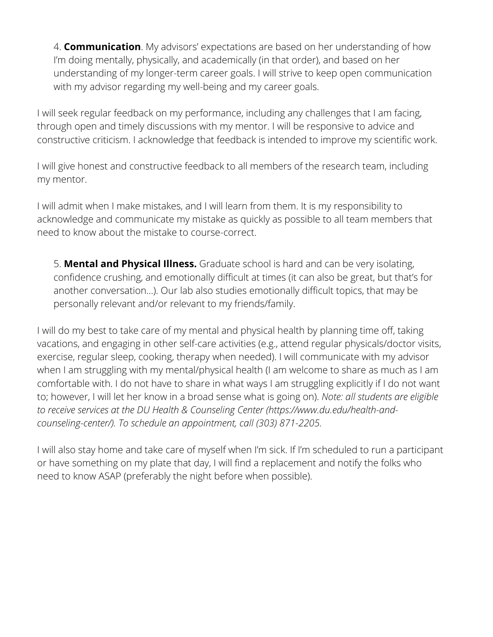4. **Communication**. My advisors' expectations are based on her understanding of how I'm doing mentally, physically, and academically (in that order), and based on her understanding of my longer-term career goals. I will strive to keep open communication with my advisor regarding my well-being and my career goals.

I will seek regular feedback on my performance, including any challenges that I am facing, through open and timely discussions with my mentor. I will be responsive to advice and constructive criticism. I acknowledge that feedback is intended to improve my scientific work.

I will give honest and constructive feedback to all members of the research team, including my mentor.

I will admit when I make mistakes, and I will learn from them. It is my responsibility to acknowledge and communicate my mistake as quickly as possible to all team members that need to know about the mistake to course-correct.

5. **Mental and Physical Illness.** Graduate school is hard and can be very isolating, confidence crushing, and emotionally difficult at times (it can also be great, but that's for another conversation…). Our lab also studies emotionally difficult topics, that may be personally relevant and/or relevant to my friends/family.

I will do my best to take care of my mental and physical health by planning time off, taking vacations, and engaging in other self-care activities (e.g., attend regular physicals/doctor visits, exercise, regular sleep, cooking, therapy when needed). I will communicate with my advisor when I am struggling with my mental/physical health (I am welcome to share as much as I am comfortable with. I do not have to share in what ways I am struggling explicitly if I do not want to; however, I will let her know in a broad sense what is going on). *Note: all students are eligible to receive services at the DU Health & Counseling Center (https://www.du.edu/health-andcounseling-center/). To schedule an appointment, call (303) 871-2205.*

I will also stay home and take care of myself when I'm sick. If I'm scheduled to run a participant or have something on my plate that day, I will find a replacement and notify the folks who need to know ASAP (preferably the night before when possible).